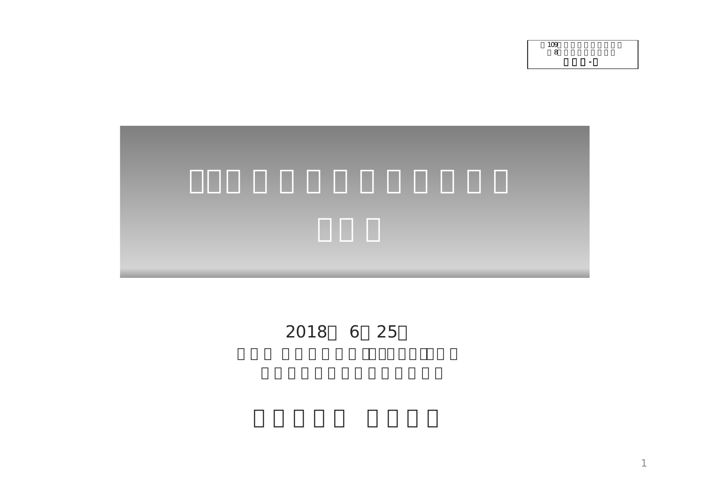| - |  |
|---|--|
|   |  |



## 2018 6 25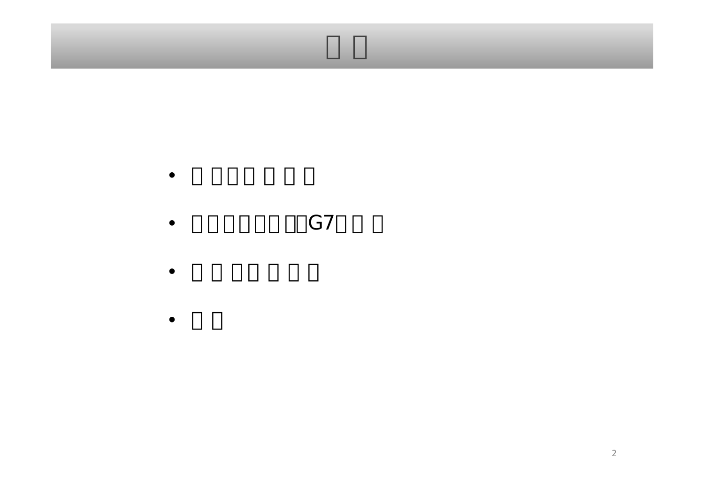

•

•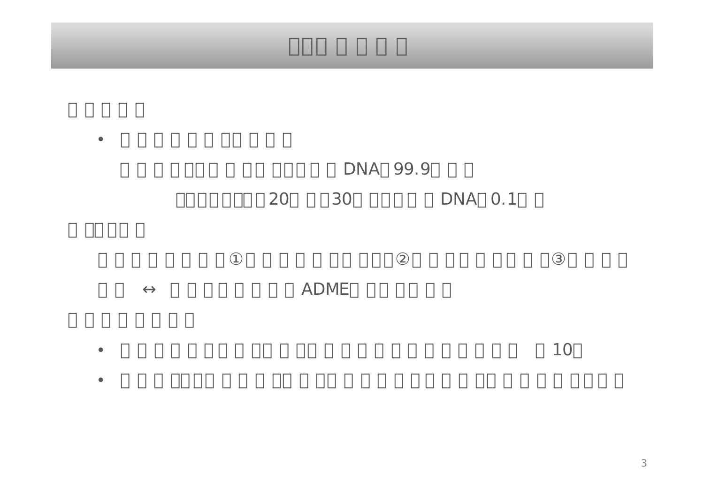# DNA 99.9 20 30 DNA 0.1

**ADME** 

 $\bullet$  and the state  $10$ 

•

•

•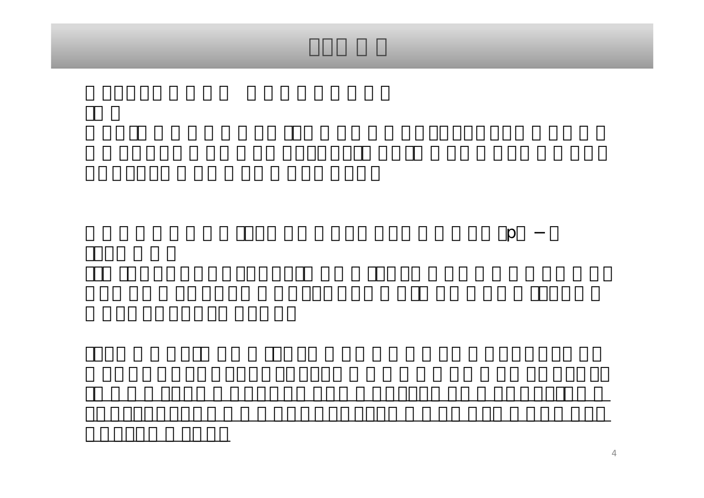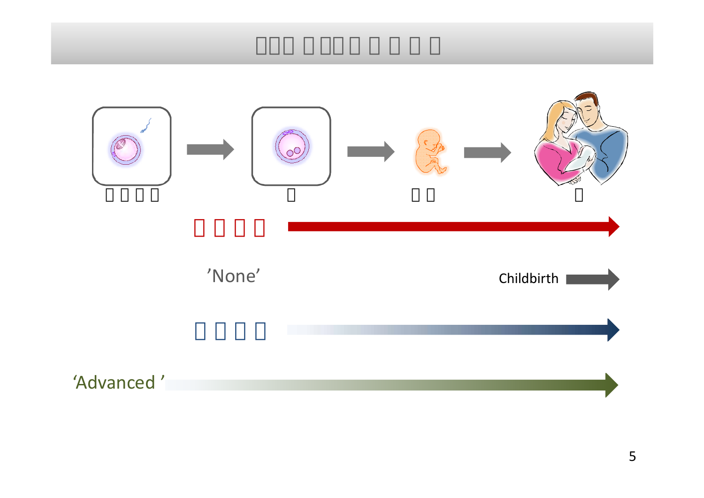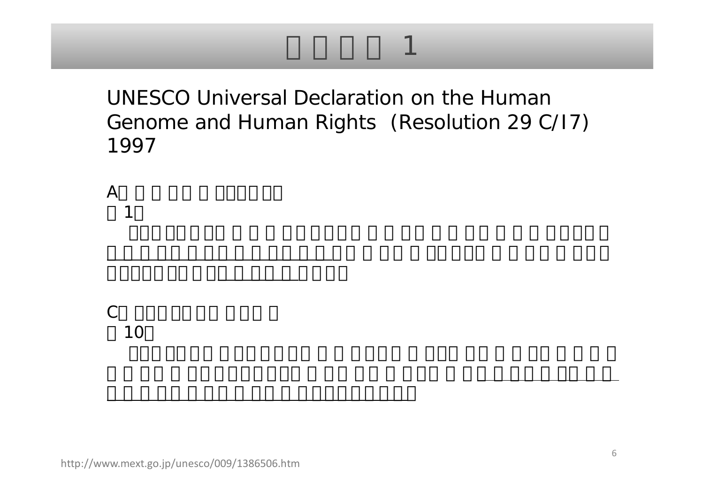UNESCO Universal Declaration on the Human Genome and Human Rights (Resolution 29 C/I7) 1997

国際条約 1

 $\mathbb C$ 第10条

 $1<sup>7</sup>$ 

A.  $\blacksquare$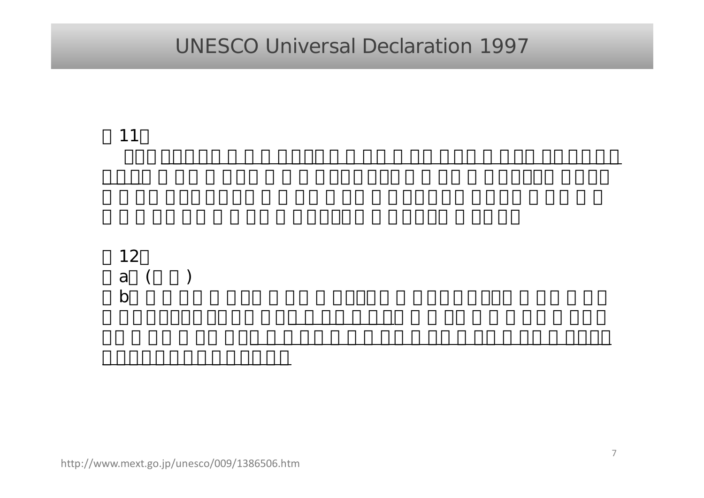# UNESCO Universal Declaration 1997

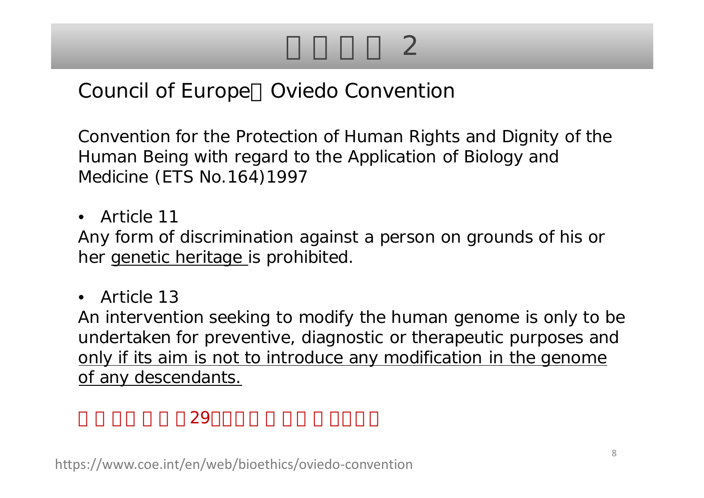# Council of Europe Oviedo Convention

Convention for the Protection of Human Rights and Dignity of the Human Being with regard to the Application of Biology and Medicine (ETS No.164)1997

• Article 11

Any form of discrimination against a person on grounds of his or her genetic heritage is prohibited.

 $\bullet$ Article 13

An intervention seeking to modify the human genome is only to be undertaken for preventive, diagnostic or therapeutic purposes and only if its aim is not to introduce any modification in the genome of any descendants.

 $29$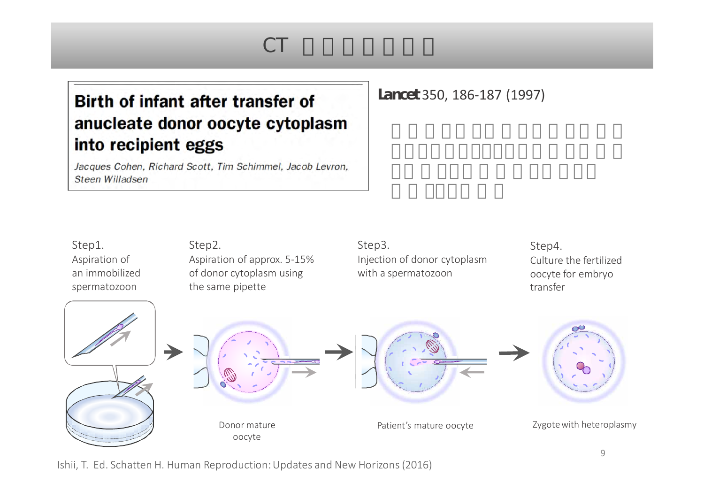## CT

## Birth of infant after transfer of anucleate donor oocyte cytoplasm into recipient eggs

Jacques Cohen, Richard Scott, Tim Schimmel, Jacob Levron, Steen Willadsen

## *Lancet* 350, 186‐187 (1997)

Step1. Aspiration of an immobilized spermatozoon

Step2. Aspiration of approx. 5‐15% of donor cytoplasm using the same pipette

Step3. Injection of donor cytoplasm with <sup>a</sup> spermatozoon

Step4. Culture the fertilizedoocyte for embryo transfer

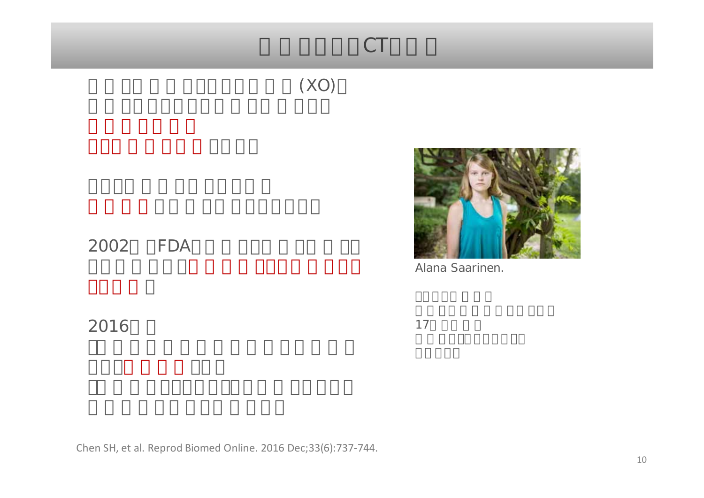# $(XO)$ 2002 FDA CT Alana Saarinen.

2016

17

Chen SH, et al. Reprod Biomed Online. 2016 Dec;33(6):737‐744.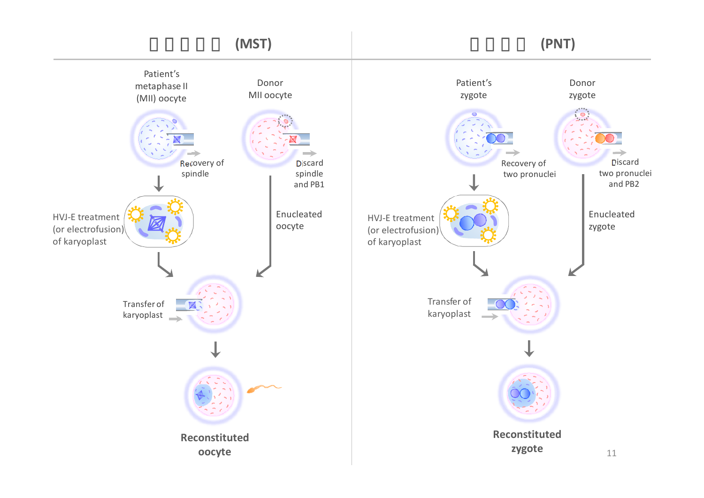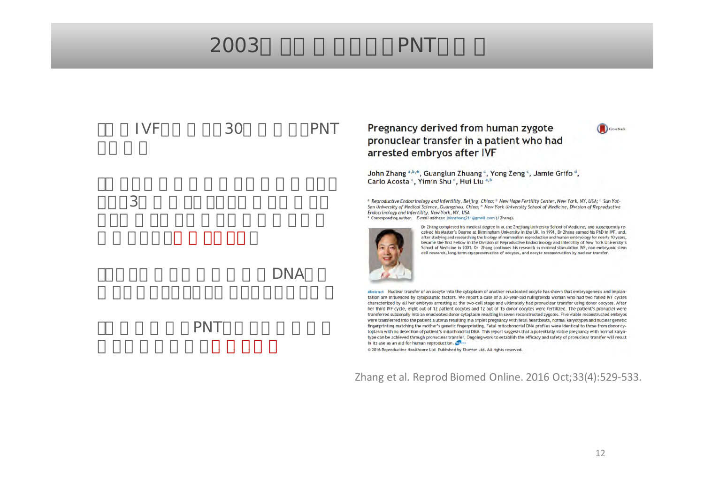|            |     |            | PNT                                                                                                                                                                                                                                                                                                                                                                                                                                                                                                                                                                                                                                                                                                                                                                                                                                                                                                                                                                                                                                                                                                                                                                                                                                                                                                                                                                                                 |           |
|------------|-----|------------|-----------------------------------------------------------------------------------------------------------------------------------------------------------------------------------------------------------------------------------------------------------------------------------------------------------------------------------------------------------------------------------------------------------------------------------------------------------------------------------------------------------------------------------------------------------------------------------------------------------------------------------------------------------------------------------------------------------------------------------------------------------------------------------------------------------------------------------------------------------------------------------------------------------------------------------------------------------------------------------------------------------------------------------------------------------------------------------------------------------------------------------------------------------------------------------------------------------------------------------------------------------------------------------------------------------------------------------------------------------------------------------------------------|-----------|
|            |     |            |                                                                                                                                                                                                                                                                                                                                                                                                                                                                                                                                                                                                                                                                                                                                                                                                                                                                                                                                                                                                                                                                                                                                                                                                                                                                                                                                                                                                     |           |
| <b>IVF</b> | 30  | <b>PNT</b> | Pregnancy derived from human zygote<br>pronuclear transfer in a patient who had<br>arrested embryos after IVF<br>John Zhang a,b,*, Guanglun Zhuang <sup>c</sup> , Yong Zeng <sup>c</sup> , Jamie Grifo <sup>d</sup> ,                                                                                                                                                                                                                                                                                                                                                                                                                                                                                                                                                                                                                                                                                                                                                                                                                                                                                                                                                                                                                                                                                                                                                                               | CrossMark |
| 3          |     | DNA        | Carlo Acosta <sup>c</sup> , Yimin Shu <sup>c</sup> , Hui Liu a,b<br><sup>a</sup> Reproductive Endocrinology and Infertility, Beijing, China; <sup>b</sup> New Hope Fertility Center, New York, NY, USA; <sup>c</sup> Sun Yat-<br>Sen University of Medical Science, Guangzhou, China; <sup>a</sup> New York University School of Medicine, Division of Reproductive<br>Endocrinology and Infertility, New York, NY, USA<br>* Corresponding author. E-mail address: johnzhang211@gmail.com (J Zhang).<br>Dr Zhang completed his medical degree in at the Zhejiang University School of Medicine, and subsequently re-<br>ceived his Master's Degree at Birmingham University in the UK. In 1991, Dr Zhang earned his PhD in IVF, and,<br>after studying and researching the biology of mammalian reproduction and human embryology for nearly 10 years,<br>became the first Fellow in the Division of Reproductive Endocrinology and Infertility of New York University's<br>School of Medicine in 2001. Dr. Zhang continues his research in minimal stimulation JVF, non-embryonic stem<br>cell research, long-term cryopreservation of oocytes, and oocyte reconstruction by nuclear transfer.                                                                                                                                                                                                     |           |
|            | PNT |            | Abstract Nuclear transfer of an oocyte into the cytoplasm of another enucleated oocyte has shown that embryogenesis and implan-<br>tation are influenced by cytoplasmic factors. We report a case of a 30-year-old nulligravida woman who had two failed IVF cycles<br>characterized by all her embryos arresting at the two-cell stage and ultimately had pronuclear transfer using donor oocytes. After<br>her third IVF cycle, eight out of 12 patient oocytes and 12 out of 15 donor oocytes were fertilized. The patient's pronuclei were<br>transferred subzonally into an enucleated donor cytoplasm resulting in seven reconstructed zygotes. Five viable reconstructed embryos<br>were transferred into the patient's uterus resulting in a triplet pregnancy with fetal heartbeats, normal karyotypes and nuclear genetic<br>fingerprinting matching the mother's genetic fingerprinting. Fetal mitochondrial DNA profiles were identical to those from donor cy-<br>toplasm with no detection of patient's mitochondrial DNA. This report suggests that a potentially viable pregnancy with normal karyo-<br>type can be achieved through pronuclear transfer. Ongoing work to establish the efficacy and safety of pronuclear transfer will result<br>In its use as an aid for human reproduction.<br>2016 Reproductive Healthcare Ltd. Published by Elsevier Ltd. All rights reserved. |           |
|            |     |            | Zhang et al. Reprod Biomed Online. 2016 Oct;33(4):529-533.                                                                                                                                                                                                                                                                                                                                                                                                                                                                                                                                                                                                                                                                                                                                                                                                                                                                                                                                                                                                                                                                                                                                                                                                                                                                                                                                          |           |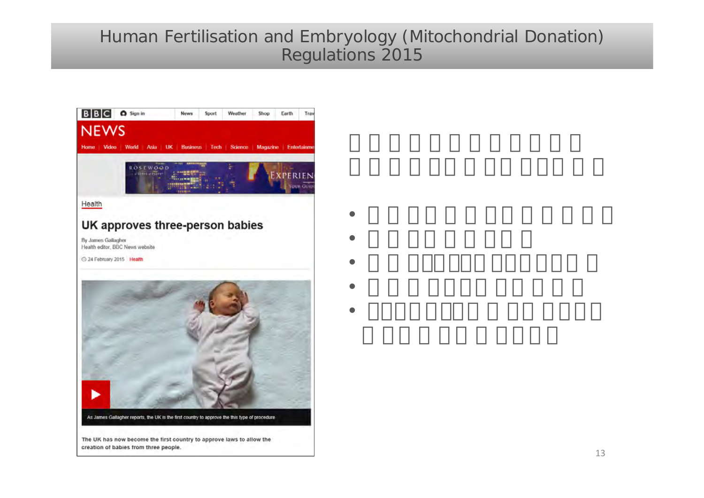## Human Fertilisation and Embryology (Mitochondrial Donation) Regulations 2015

•

•

•

•

•

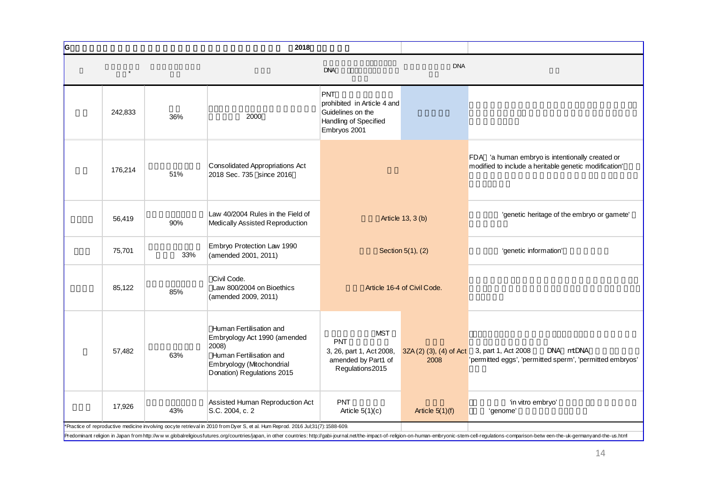| G<br>2018                                                                                                                      |                                                                                                                                                       |                                                                                                         |                                 |                                                                                                                                                                                                                                |
|--------------------------------------------------------------------------------------------------------------------------------|-------------------------------------------------------------------------------------------------------------------------------------------------------|---------------------------------------------------------------------------------------------------------|---------------------------------|--------------------------------------------------------------------------------------------------------------------------------------------------------------------------------------------------------------------------------|
|                                                                                                                                |                                                                                                                                                       | <b>DNA</b>                                                                                              | <b>DNA</b>                      |                                                                                                                                                                                                                                |
| 242,833<br>36%                                                                                                                 | 2000                                                                                                                                                  | <b>PNT</b><br>prohibited in Article 4 and<br>Guidelines on the<br>Handling of Specified<br>Embryos 2001 |                                 |                                                                                                                                                                                                                                |
| 176,214<br>51%                                                                                                                 | <b>Consolidated Appropriations Act</b><br>2018 Sec. 735 since 2016                                                                                    |                                                                                                         |                                 | FDA 'a human embryo is intentionally created or<br>modified to include a heritable genetic modification'                                                                                                                       |
| 56,419<br>90%                                                                                                                  | Law 40/2004 Rules in the Field of<br>Medically Assisted Reproduction                                                                                  | Article 13, 3 (b)                                                                                       |                                 | 'genetic heritage of the embryo or gamete'                                                                                                                                                                                     |
| 75,701<br>33%                                                                                                                  | Embryo Protection Law 1990<br>(amended 2001, 2011)                                                                                                    | Section 5(1), (2)                                                                                       |                                 | 'genetic information'                                                                                                                                                                                                          |
| 85,122<br>85%                                                                                                                  | Civil Code.<br>Law 800/2004 on Bioethics<br>(amended 2009, 2011)                                                                                      | Article 16-4 of Civil Code.                                                                             |                                 |                                                                                                                                                                                                                                |
| 57,482<br>63%                                                                                                                  | Human Fertilisation and<br>Embryology Act 1990 (amended<br>2008<br>Human Fertilisation and<br>Embryology (Mitochondrial<br>Donation) Regulations 2015 | <b>MST</b><br><b>PNT</b><br>3, 26, part 1, Act 2008,<br>amended by Part1 of<br>Regulations2015          | 3ZA (2) (3), (4) of Act<br>2008 | 3, part 1, Act 2008<br>DNA mtDNA<br>'permitted eggs', 'permitted sperm', 'permitted embryos'                                                                                                                                   |
| 17,926<br>43%                                                                                                                  | Assisted Human Reproduction Act<br>S.C. 2004, c. 2                                                                                                    | <b>PNT</b><br>Article $5(1)(c)$                                                                         | Article $5(1)(f)$               | 'in vitro embryo'<br>'genome'                                                                                                                                                                                                  |
| *Practice of reproductive medicine involving oocyte retrieval in 2010 from Dyer S, et al. Hum Reprod. 2016 Jul;31(7):1588-609. |                                                                                                                                                       |                                                                                                         |                                 | Predominant religion in Japan from http://www.globalreligiousfutures.org/countries/japan, in other countries: http://gabi-journal.net/the-impact-of-religion-on-human-embryonic-stem-cell-regulations-comparison-between-the-u |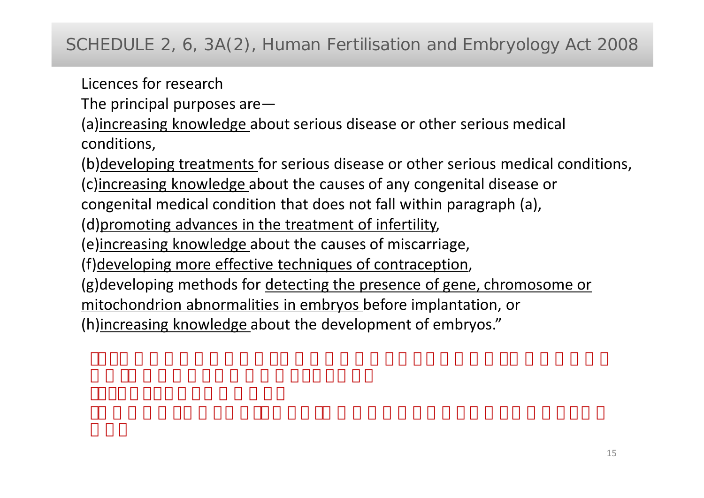## SCHEDULE 2, 6, 3A(2), Human Fertilisation and Embryology Act 200 8

Licences for research

The principal purposes are—

(a)increasing knowledge about serious disease or other serious medical conditions,

(b)developing treatments for serious disease or other serious medical conditions,

(c)increasing knowledge about the causes of any congenital disease or

congenital medical condition that does not fall within paragraph (a),

(d)promoting advances in the treatment of infertility,

(e)increasing knowledge about the causes of miscarriage,

(f)developing more effective techniques of contraception,

(g)developing methods for detecting the presence of gene, chromosome or

mitochondrion abnormalities in embryos before implantation, or

(h)increasing knowledge about the development of embryos."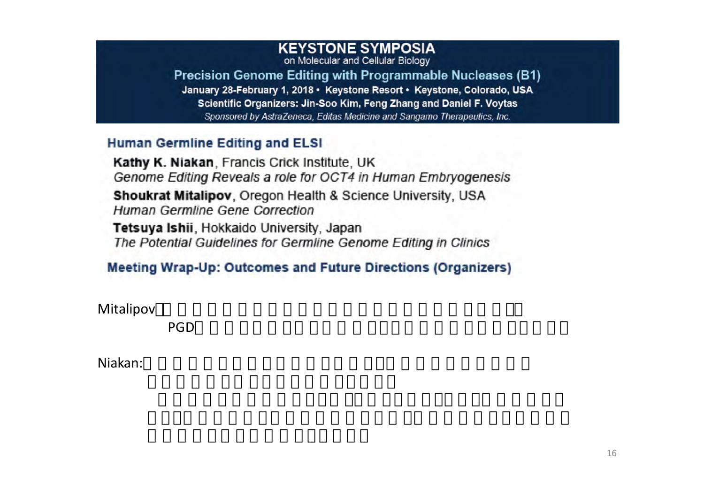#### **KEYSTONE SYMPOSIA**

on Molecular and Cellular Biology

**Precision Genome Editing with Programmable Nucleases (B1)** January 28-February 1, 2018 · Keystone Resort · Keystone, Colorado, USA Scientific Organizers: Jin-Soo Kim, Feng Zhang and Daniel F. Voytas Sponsored by AstraZeneca, Editas Medicine and Sangamo Therapeutics, Inc.

#### **Human Germline Editing and ELSI**

Kathy K. Niakan, Francis Crick Institute, UK Genome Editing Reveals a role for OCT4 in Human Embryogenesis Shoukrat Mitalipov, Oregon Health & Science University, USA Human Germline Gene Correction Tetsuva Ishii, Hokkaido University, Japan

The Potential Guidelines for Germline Genome Editing in Clinics

### Meeting Wrap-Up: Outcomes and Future Directions (Organizers)

Mitalipov

PGD

Niakan: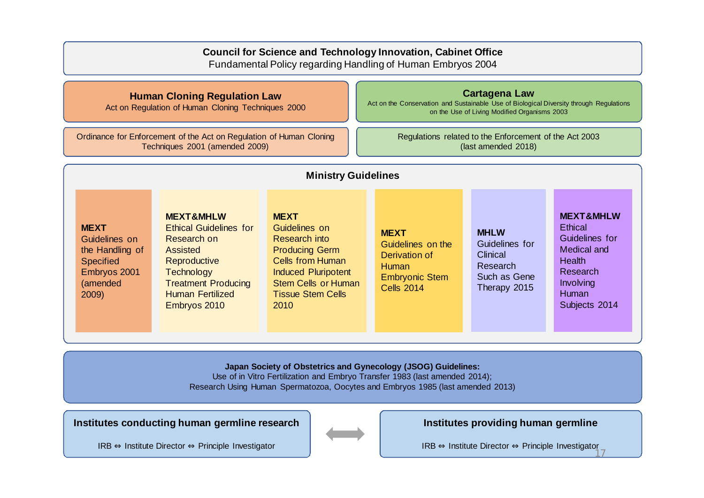#### **Council for Science and Technology Innovation, Cabinet Office**

Fundamental Policy regarding Handling of Human Embryos 2004

| <b>Human Cloning Regulation Law</b><br>Act on Regulation of Human Cloning Techniques 2000                |                                                                                                                                                                                                       |                                                                                                                                                                                                   | <b>Cartagena Law</b><br>Act on the Conservation and Sustainable Use of Biological Diversity through Regulations<br>on the Use of Living Modified Organisms 2003 |                                                                                       |                                                                                                                                             |
|----------------------------------------------------------------------------------------------------------|-------------------------------------------------------------------------------------------------------------------------------------------------------------------------------------------------------|---------------------------------------------------------------------------------------------------------------------------------------------------------------------------------------------------|-----------------------------------------------------------------------------------------------------------------------------------------------------------------|---------------------------------------------------------------------------------------|---------------------------------------------------------------------------------------------------------------------------------------------|
| Ordinance for Enforcement of the Act on Regulation of Human Cloning<br>Techniques 2001 (amended 2009)    |                                                                                                                                                                                                       |                                                                                                                                                                                                   | Regulations related to the Enforcement of the Act 2003<br>(last amended 2018)                                                                                   |                                                                                       |                                                                                                                                             |
| <b>Ministry Guidelines</b>                                                                               |                                                                                                                                                                                                       |                                                                                                                                                                                                   |                                                                                                                                                                 |                                                                                       |                                                                                                                                             |
| <b>MEXT</b><br>Guidelines on<br>the Handling of<br><b>Specified</b><br>Embryos 2001<br>(amended<br>2009) | <b>MEXT&amp;MHLW</b><br><b>Ethical Guidelines for</b><br>Research on<br><b>Assisted</b><br>Reproductive<br><b>Technology</b><br><b>Treatment Producing</b><br><b>Human Fertilized</b><br>Embryos 2010 | <b>MEXT</b><br>Guidelines on<br>Research into<br><b>Producing Germ</b><br><b>Cells from Human</b><br><b>Induced Pluripotent</b><br><b>Stem Cells or Human</b><br><b>Tissue Stem Cells</b><br>2010 | <b>MEXT</b><br>Guidelines on the<br>Derivation of<br><b>Human</b><br><b>Embryonic Stem</b><br><b>Cells 2014</b>                                                 | <b>MHLW</b><br>Guidelines for<br>Clinical<br>Research<br>Such as Gene<br>Therapy 2015 | <b>MEXT&amp;MHLW</b><br>Ethical<br>Guidelines for<br>Medical and<br><b>Health</b><br>Research<br>Involving<br><b>Human</b><br>Subjects 2014 |

#### **Japan Society of Obstetrics and Gynecology (JSOG) Guidelines:**

Use of in Vitro Fertilization and Embryo Transfer 1983 (last amended 2014); Research Using Human Spermatozoa, Oocytes and Embryos 1985 (last amended 2013)

**Institutes conducting human germline research**



#### **Institutes providing human germline**

IRB Institute Director Principle Investigator 17

IRB Institute DirectorPrinciple Investigator